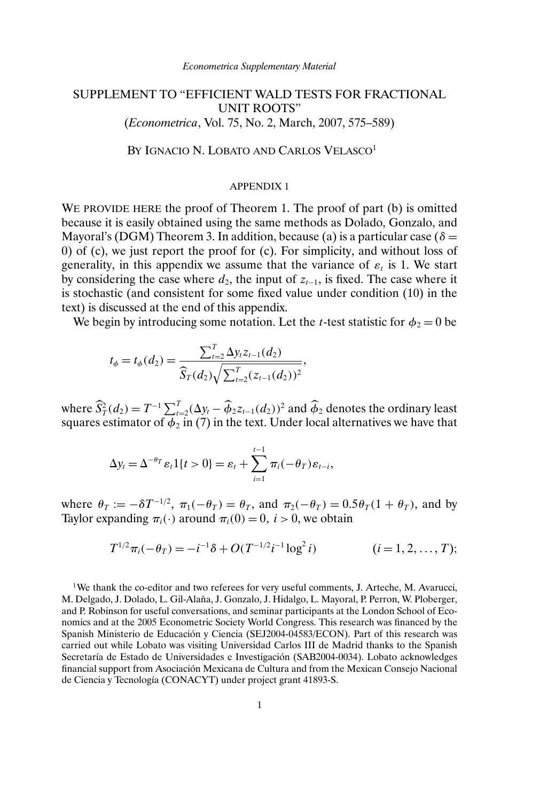## SUPPLEMENT TO "EFFICIENT WALD TESTS FOR FRACTIONAL UNIT ROOTS" (*Econometrica*, Vol. 75, No. 2, March, 2007, 575–589)

BY IGNACIO N. LOBATO AND CARLOS VELASCO<sup>1</sup>

## APPENDIX 1

WE PROVIDE HERE the proof of Theorem 1. The proof of part (b) is omitted because it is easily obtained using the same methods as Dolado, Gonzalo, and Mayoral's (DGM) Theorem 3. In addition, because (a) is a particular case ( $\delta$  = 0) of (c), we just report the proof for (c). For simplicity, and without loss of generality, in this appendix we assume that the variance of  $\varepsilon_t$  is 1. We start by considering the case where  $d_2$ , the input of  $z_{t-1}$ , is fixed. The case where it is stochastic (and consistent for some fixed value under condition (10) in the text) is discussed at the end of this appendix.

We begin by introducing some notation. Let the *t*-test statistic for  $\phi_2 = 0$  be

$$
t_{\phi} = t_{\phi}(d_2) = \frac{\sum_{t=2}^{T} \Delta y_t z_{t-1}(d_2)}{\widehat{S}_T(d_2) \sqrt{\sum_{t=2}^{T} (z_{t-1}(d_2))^2}},
$$

where  $\widehat{S}_T^2(d_2) = T^{-1} \sum_{t=2}^T (\Delta y_t - \widehat{\phi}_2 z_{t-1}(d_2))^2$  and  $\widehat{\phi}_2$  denotes the ordinary least squares estimator of  $\phi_2$  in (7) in the text. Under local alternatives we have that

$$
\Delta y_t = \Delta^{-\theta_T} \varepsilon_t \mathbb{1}\{t > 0\} = \varepsilon_t + \sum_{i=1}^{t-1} \pi_i(-\theta_T) \varepsilon_{t-i},
$$

where  $\theta_T := -\delta T^{-1/2}$ ,  $\pi_1(-\theta_T) = \theta_T$ , and  $\pi_2(-\theta_T) = 0.5\theta_T(1+\theta_T)$ , and by Taylor expanding  $\pi_i(\cdot)$  around  $\pi_i(0) = 0$ ,  $i > 0$ , we obtain

$$
T^{1/2}\pi_i(-\theta_T) = -i^{-1}\delta + O(T^{-1/2}i^{-1}\log^2 i)
$$
   
 (*i* = 1, 2, ..., *T*);

<sup>1</sup>We thank the co-editor and two referees for very useful comments, J. Arteche, M. Avarucci, M. Delgado, J. Dolado, L. Gil-Alaña, J. Gonzalo, J. Hidalgo, L. Mayoral, P. Perron, W. Ploberger, and P. Robinson for useful conversations, and seminar participants at the London School of Economics and at the 2005 Econometric Society World Congress. This research was financed by the Spanish Ministerio de Educación y Ciencia (SEJ2004-04583/ECON). Part of this research was carried out while Lobato was visiting Universidad Carlos III de Madrid thanks to the Spanish Secretaría de Estado de Universidades e Investigación (SAB2004-0034). Lobato acknowledges financial support from Asociación Mexicana de Cultura and from the Mexican Consejo Nacional de Ciencia y Tecnología (CONACYT) under project grant 41893-S.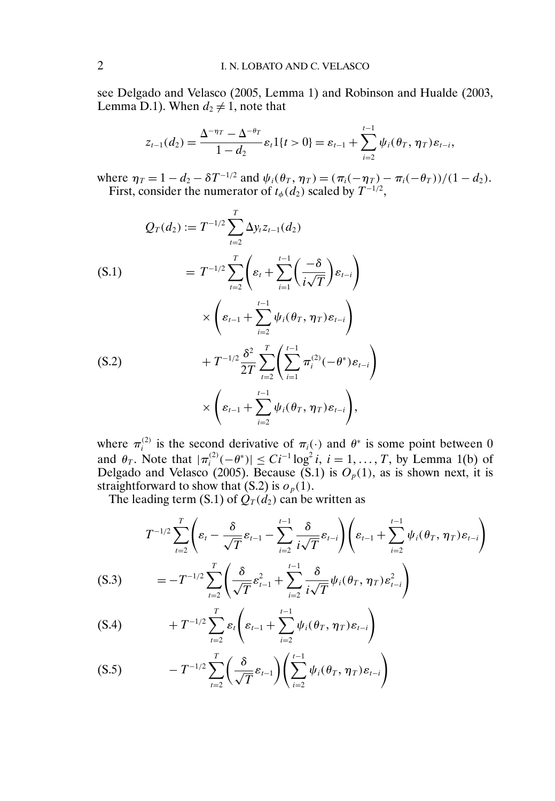see Delgado and Velasco (2005, Lemma 1) and Robinson and Hualde (2003, Lemma D.1). When  $d_2 \neq 1$ , note that

$$
z_{t-1}(d_2) = \frac{\Delta^{-\eta_T} - \Delta^{-\theta_T}}{1 - d_2} \varepsilon_t \mathbb{1}\{t > 0\} = \varepsilon_{t-1} + \sum_{i=2}^{t-1} \psi_i(\theta_T, \eta_T) \varepsilon_{t-i},
$$

where  $\eta_T = 1 - d_2 - \delta T^{-1/2}$  and  $\psi_i(\theta_T, \eta_T) = (\pi_i(-\eta_T) - \pi_i(-\theta_T))/(1 - d_2)$ . First, consider the numerator of  $t_{\phi}(d_2)$  scaled by  $T^{-1/2}$ ,

$$
Q_T(d_2) := T^{-1/2} \sum_{t=2}^T \Delta y_t z_{t-1}(d_2)
$$
  
\n
$$
= T^{-1/2} \sum_{t=2}^T \left( \varepsilon_t + \sum_{i=1}^{t-1} \left( \frac{-\delta}{i\sqrt{T}} \right) \varepsilon_{t-i} \right)
$$
  
\n
$$
\times \left( \varepsilon_{t-1} + \sum_{i=2}^{t-1} \psi_i(\theta_T, \eta_T) \varepsilon_{t-i} \right)
$$
  
\n
$$
+ T^{-1/2} \frac{\delta^2}{2T} \sum_{t=2}^T \left( \sum_{i=1}^{t-1} \pi_i^{(2)}(-\theta^*) \varepsilon_{t-i} \right)
$$
  
\n
$$
\times \left( \varepsilon_{t-1} + \sum_{i=2}^{t-1} \psi_i(\theta_T, \eta_T) \varepsilon_{t-i} \right),
$$

where  $\pi_i^{(2)}$  is the second derivative of  $\pi_i(\cdot)$  and  $\theta^*$  is some point between 0 and  $\theta_T$ . Note that  $|\pi_i^{(2)}(-\theta^*)| \leq C i^{-1} \log^2 i$ ,  $i = 1, ..., T$ , by Lemma 1(b) of Delgado and Velasco (2005). Because (S.1) is  $O_p(1)$ , as is shown next, it is straightforward to show that  $(S.2)$  is  $o_p(1)$ .

The leading term (S.1) of  $\hat{Q}_T(\hat{d}_2)$  can be written as

$$
(S.3) \qquad T^{-1/2} \sum_{t=2}^{T} \left( \varepsilon_{t} - \frac{\delta}{\sqrt{T}} \varepsilon_{t-1} - \sum_{i=2}^{t-1} \frac{\delta}{i\sqrt{T}} \varepsilon_{t-i} \right) \left( \varepsilon_{t-1} + \sum_{i=2}^{t-1} \psi_{i}(\theta_{T}, \eta_{T}) \varepsilon_{t-i} \right)
$$
\n
$$
= -T^{-1/2} \sum_{t=2}^{T} \left( \frac{\delta}{\sqrt{T}} \varepsilon_{t-1}^{2} + \sum_{i=2}^{t-1} \frac{\delta}{i\sqrt{T}} \psi_{i}(\theta_{T}, \eta_{T}) \varepsilon_{t-i}^{2} \right)
$$

$$
(S.4) \t\t + T^{-1/2} \sum_{t=2}^{T} \varepsilon_t \left( \varepsilon_{t-1} + \sum_{i=2}^{t-1} \psi_i(\theta_T, \eta_T) \varepsilon_{t-i} \right)
$$

$$
(S.5) \t\t -T^{-1/2}\sum_{t=2}^T\left(\frac{\delta}{\sqrt{T}}\varepsilon_{t-1}\right)\left(\sum_{i=2}^{t-1}\psi_i(\theta_T,\eta_T)\varepsilon_{t-i}\right)
$$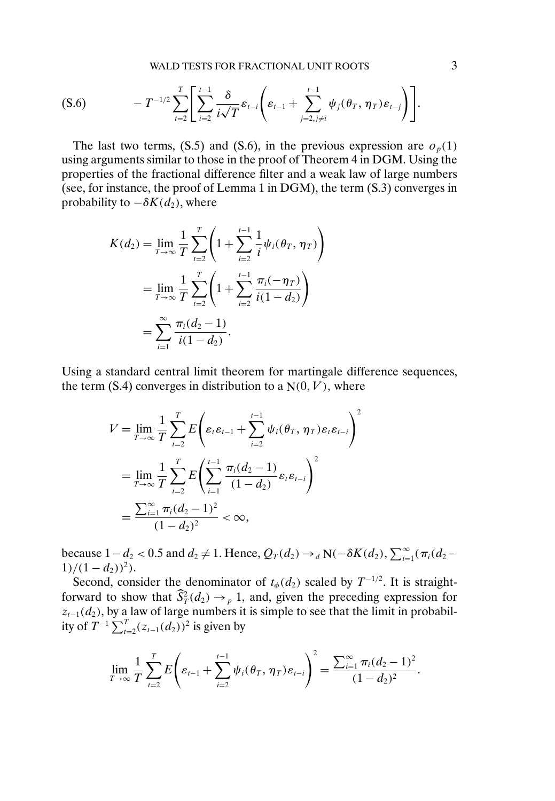WALD TESTS FOR FRACTIONAL UNIT ROOTS 3

$$
(S.6) \t\t - T^{-1/2} \sum_{t=2}^{T} \left[ \sum_{i=2}^{t-1} \frac{\delta}{i\sqrt{T}} \varepsilon_{t-i} \left( \varepsilon_{t-1} + \sum_{j=2, j \neq i}^{t-1} \psi_j(\theta_T, \eta_T) \varepsilon_{t-j} \right) \right].
$$

The last two terms, (S.5) and (S.6), in the previous expression are  $o_p(1)$ using arguments similar to those in the proof of Theorem 4 in DGM. Using the properties of the fractional difference filter and a weak law of large numbers (see, for instance, the proof of Lemma 1 in DGM), the term (S.3) converges in probability to  $-\delta K(d_2)$ , where

$$
K(d_2) = \lim_{T \to \infty} \frac{1}{T} \sum_{t=2}^{T} \left( 1 + \sum_{i=2}^{t-1} \frac{1}{i} \psi_i(\theta_T, \eta_T) \right)
$$
  
= 
$$
\lim_{T \to \infty} \frac{1}{T} \sum_{t=2}^{T} \left( 1 + \sum_{i=2}^{t-1} \frac{\pi_i(-\eta_T)}{i(1-d_2)} \right)
$$
  
= 
$$
\sum_{i=1}^{\infty} \frac{\pi_i(d_2 - 1)}{i(1-d_2)}.
$$

Using a standard central limit theorem for martingale difference sequences, the term  $(S.4)$  converges in distribution to a  $N(0, V)$ , where

$$
V = \lim_{T \to \infty} \frac{1}{T} \sum_{t=2}^{T} E\left(\varepsilon_t \varepsilon_{t-1} + \sum_{i=2}^{t-1} \psi_i(\theta_T, \eta_T) \varepsilon_t \varepsilon_{t-i}\right)^2
$$
  
= 
$$
\lim_{T \to \infty} \frac{1}{T} \sum_{t=2}^{T} E\left(\sum_{i=1}^{t-1} \frac{\pi_i(d_2 - 1)}{(1 - d_2)} \varepsilon_t \varepsilon_{t-i}\right)^2
$$
  
= 
$$
\frac{\sum_{i=1}^{\infty} \pi_i(d_2 - 1)^2}{(1 - d_2)^2} < \infty,
$$

because  $1-d_2 < 0.5$  and  $d_2 \neq 1$ . Hence,  $Q_T(d_2) \rightarrow_d N(-\delta K(d_2), \sum_{i=1}^{\infty} (\pi_i(d_2 1)/(1-d_2)^2$ .

Second, consider the denominator of  $t_{\phi}(d_2)$  scaled by  $T^{-1/2}$ . It is straightforward to show that  $S_T^2(d_2) \rightarrow_p 1$ , and, given the preceding expression for  $z_{t-1}(d_2)$ , by a law of large numbers it is simple to see that the limit in probability of  $T^{-1} \sum_{t=2}^{T} (z_{t-1}(d_2))^2$  is given by

$$
\lim_{T\to\infty}\frac{1}{T}\sum_{t=2}^T E\left(\varepsilon_{t-1}+\sum_{i=2}^{t-1}\psi_i(\theta_T,\eta_T)\varepsilon_{t-i}\right)^2=\frac{\sum_{i=1}^{\infty}\pi_i(d_2-1)^2}{(1-d_2)^2}.
$$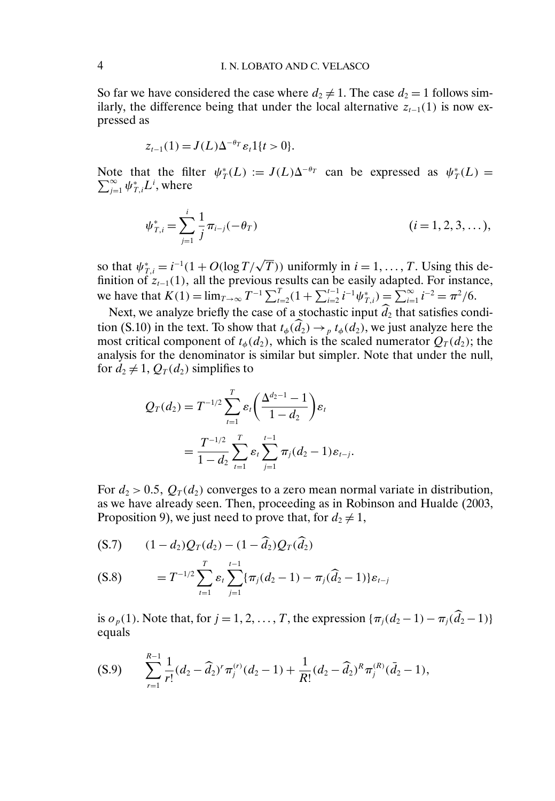So far we have considered the case where  $d_2 \neq 1$ . The case  $d_2 = 1$  follows similarly, the difference being that under the local alternative  $z_{t-1}(1)$  is now expressed as

$$
z_{t-1}(1) = J(L)\Delta^{-\theta_T} \varepsilon_t \mathbb{1}\{t>0\}.
$$

Note that the filter  $\psi_T^*(L) := J(L)\Delta^{-\theta_T}$  can be expressed as  $\psi_T^*(L) = \sum_{i=1}^{\infty} \psi_T^* L^i$ , where  $\sum\limits_{j=1}^{\infty}\psi_{T,i}^{*}L^{i},$  where

$$
\psi_{T,i}^* = \sum_{j=1}^i \frac{1}{j} \pi_{i-j}(-\theta_T) \qquad (i = 1, 2, 3, \dots),
$$

so that  $\psi_{T,i}^* = i^{-1}(1 + O(\log T/\sqrt{T}))$  uniformly in  $i = 1, ..., T$ . Using this definition of  $z_{t-1}(1)$ , all the previous results can be easily adapted. For instance, we have that  $K(1) = \lim_{T \to \infty} T^{-1} \sum_{t=2}^{T} (1 + \sum_{i=2}^{t-1} i^{-1} \psi_{T,i}^*) = \sum_{i=1}^{\infty} i^{-2} = \pi^2/6.$ 

Next, we analyze briefly the case of a stochastic input  $d_2$  that satisfies condition (S.10) in the text. To show that  $t_{\phi}(d_2) \rightarrow_{p} t_{\phi}(d_2)$ , we just analyze here the most critical component of  $t_{\phi}(d_2)$ , which is the scaled numerator  $Q_T(d_2)$ ; the analysis for the denominator is similar but simpler. Note that under the null, for  $d_2 \neq 1$ ,  $Q_T(d_2)$  simplifies to

$$
Q_T(d_2) = T^{-1/2} \sum_{t=1}^T \varepsilon_t \left( \frac{\Delta^{d_2-1} - 1}{1 - d_2} \right) \varepsilon_t
$$
  
= 
$$
\frac{T^{-1/2}}{1 - d_2} \sum_{t=1}^T \varepsilon_t \sum_{j=1}^{t-1} \pi_j(d_2 - 1) \varepsilon_{t-j}.
$$

For  $d_2 > 0.5$ ,  $Q_T(d_2)$  converges to a zero mean normal variate in distribution, as we have already seen. Then, proceeding as in Robinson and Hualde (2003, Proposition 9), we just need to prove that, for  $d_2 \neq 1$ ,

$$
(S.7) \qquad (1 - d_2)Q_T(d_2) - (1 - \widehat{d}_2)Q_T(\widehat{d}_2)
$$

$$
(S.8) \t= T^{-1/2} \sum_{t=1}^{T} \varepsilon_t \sum_{j=1}^{t-1} \{ \pi_j(d_2 - 1) - \pi_j(\widehat{d}_2 - 1) \} \varepsilon_{t-j}
$$

is  $o_p(1)$ . Note that, for  $j = 1, 2, ..., T$ , the expression  ${\pi_j(d_2 - 1) - \pi_j(d_2 - 1)}$ equals

$$
(S.9) \qquad \sum_{r=1}^{R-1} \frac{1}{r!} (d_2 - \widehat{d}_2)^r \pi_j^{(r)}(d_2 - 1) + \frac{1}{R!} (d_2 - \widehat{d}_2)^R \pi_j^{(R)}(\overline{d}_2 - 1),
$$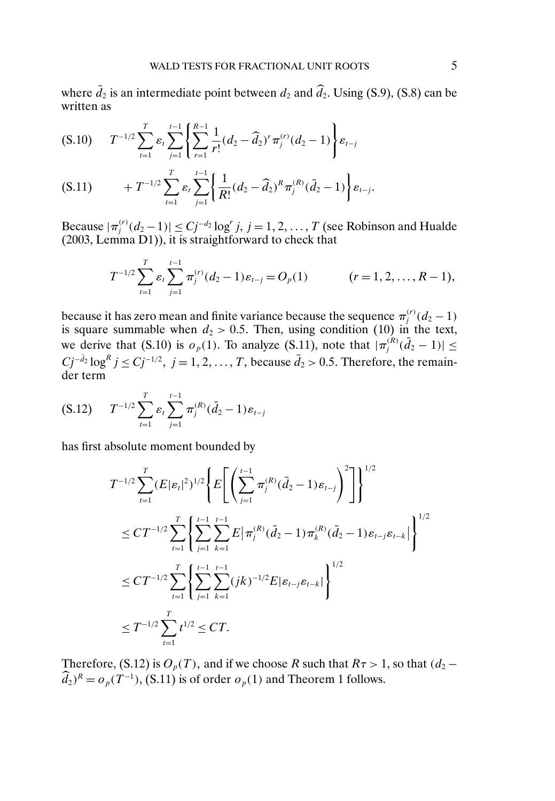where  $\bar{d}_2$  is an intermediate point between  $d_2$  and  $\hat{d}_2$ . Using (S.9), (S.8) can be written as

$$
(S.10) \t T^{-1/2} \sum_{t=1}^{T} \varepsilon_t \sum_{j=1}^{t-1} \left\{ \sum_{r=1}^{R-1} \frac{1}{r!} (d_2 - \widehat{d}_2)^r \pi_j^{(r)} (d_2 - 1) \right\} \varepsilon_{t-j}
$$

$$
(S.11) \t\t + T^{-1/2} \sum_{t=1}^T \varepsilon_t \sum_{j=1}^{t-1} \left\{ \frac{1}{R!} (d_2 - \widehat{d}_2)^R \pi_j^{(R)} (\bar{d}_2 - 1) \right\} \varepsilon_{t-j}.
$$

Because  $|\pi_j^{(r)}(d_2-1)| \leq Cj^{-d_2} \log^r j$ ,  $j = 1, 2, ..., T$  (see Robinson and Hualde (2003, Lemma D1)), it is straightforward to check that

$$
T^{-1/2} \sum_{t=1}^T \varepsilon_t \sum_{j=1}^{t-1} \pi_j^{(r)}(d_2 - 1) \varepsilon_{t-j} = O_p(1) \qquad (r = 1, 2, \dots, R-1),
$$

because it has zero mean and finite variance because the sequence  $\pi_j^{(r)}(d_2-1)$ is square summable when  $d_2 > 0.5$ . Then, using condition (10) in the text, we derive that (S.10) is  $o_p(1)$ . To analyze (S.11), note that  $|\pi_j^{(R)}(\bar{d}_2-1)| \le$  $Cj^{-\bar{d}_2}\log^R j \le Cj^{-1/2}, \ j=1,2,\ldots,T$ , because  $\bar{d}_2 > 0.5$ . Therefore, the remainder term

$$
(S.12) \tT^{-1/2} \sum_{t=1}^{T} \varepsilon_t \sum_{j=1}^{t-1} \pi_j^{(R)}(\bar{d}_2 - 1) \varepsilon_{t-j}
$$

has first absolute moment bounded by

$$
T^{-1/2} \sum_{t=1}^{T} (E|\varepsilon_{t}|^{2})^{1/2} \left\{ E\left[ \left( \sum_{j=1}^{t-1} \pi_{j}^{(R)}(\bar{d}_{2}-1)\varepsilon_{t-j} \right)^{2} \right] \right\}^{1/2}
$$
  
\n
$$
\leq CT^{-1/2} \sum_{t=1}^{T} \left\{ \sum_{j=1}^{t-1} \sum_{k=1}^{t-1} E|\pi_{j}^{(R)}(\bar{d}_{2}-1)\pi_{k}^{(R)}(\bar{d}_{2}-1)\varepsilon_{t-j}\varepsilon_{t-k}| \right\}^{1/2}
$$
  
\n
$$
\leq CT^{-1/2} \sum_{t=1}^{T} \left\{ \sum_{j=1}^{t-1} \sum_{k=1}^{t-1} (jk)^{-1/2} E|\varepsilon_{t-j}\varepsilon_{t-k}| \right\}^{1/2}
$$
  
\n
$$
\leq T^{-1/2} \sum_{t=1}^{T} t^{1/2} \leq CT.
$$

Therefore, (S.12) is  $O_p(T)$ , and if we choose R such that  $R\tau > 1$ , so that  $(d_2 \widehat{d}_2$ )<sup>R</sup> =  $o_p(T^{-1})$ , (S.11) is of order  $o_p(1)$  and Theorem 1 follows.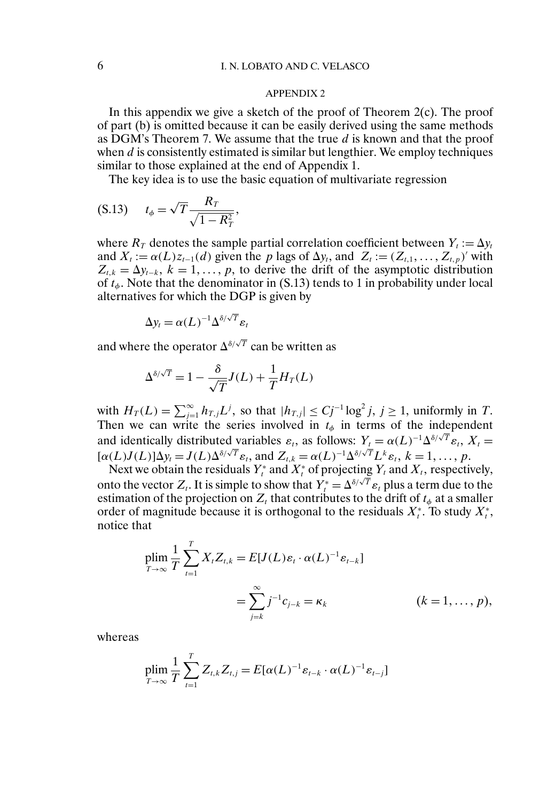## APPENDIX 2

In this appendix we give a sketch of the proof of Theorem  $2(c)$ . The proof of part (b) is omitted because it can be easily derived using the same methods as DGM's Theorem 7. We assume that the true  $d$  is known and that the proof when  $d$  is consistently estimated is similar but lengthier. We employ techniques similar to those explained at the end of Appendix 1.

The key idea is to use the basic equation of multivariate regression

$$
(S.13) \t t_{\phi} = \sqrt{T} \frac{R_T}{\sqrt{1 - R_T^2}},
$$

where  $R<sub>T</sub>$  denotes the sample partial correlation coefficient between  $Y<sub>t</sub> := \Delta y<sub>t</sub>$ and  $X_t := \alpha(L)z_{t-1}(d)$  given the p lags of  $\Delta y_t$ , and  $Z_t := (Z_{t,1}, \ldots, Z_{t,p})'$  with  $Z_{t,k} = \Delta y_{t-k}, k = 1, \ldots, p$ , to derive the drift of the asymptotic distribution of  $t_{\phi}$ . Note that the denominator in (S.13) tends to 1 in probability under local alternatives for which the DGP is given by

$$
\Delta y_t = \alpha(L)^{-1} \Delta^{\delta/\sqrt{T}} \varepsilon_t
$$

and where the operator  $\Delta^{\delta/\sqrt{T}}$  can be written as

$$
\Delta^{\delta/\sqrt{T}} = 1 - \frac{\delta}{\sqrt{T}} J(L) + \frac{1}{T} H_T(L)
$$

with  $H_T(L) = \sum_{j=1}^{\infty} h_{T,j} L^j$ , so that  $|h_{T,j}| \le Cj^{-1} \log^2 j$ ,  $j \ge 1$ , uniformly in T. Then we can write the series involved in  $t_{\phi}$  in terms of the independent and identically distributed variables  $\varepsilon_t$ , as follows:  $Y_t = \alpha(L)^{-1} \Delta^{\delta/\sqrt{T}} \varepsilon_t$ ,  $X_t = [\alpha(L)J(L)]\Delta y_t = J(L)\Delta^{\delta/\sqrt{T}} \varepsilon_t$ , and  $Z_{t,k} = \alpha(L)^{-1} \Delta^{\delta/\sqrt{T}} L^k \varepsilon_t$ ,  $k = 1, ..., p$ .

Next we obtain the residuals  $Y_t^*$  and  $X_t^*$  of projecting  $Y_t$  and  $X_t$ , respectively, onto the vector  $Z_t$ . It is simple to show that  $Y_t^* = \Delta^{\delta/\sqrt{T}} \varepsilon_t$  plus a term due to the estimation of the projection on  $Z_t$  that contributes to the drift of  $t_{\phi}$  at a smaller order of magnitude because it is orthogonal to the residuals  $X_t^*$ . To study  $X_t^*$ , notice that

$$
\begin{aligned} \n\text{plim} \frac{1}{T} \sum_{t=1}^{T} X_t Z_{t,k} &= E[J(L)\varepsilon_t \cdot \alpha(L)^{-1} \varepsilon_{t-k}] \\ \n&= \sum_{j=k}^{\infty} j^{-1} c_{j-k} = \kappa_k \n\end{aligned} \quad (k = 1, \dots, p),
$$

whereas

$$
\plim_{T\to\infty}\frac{1}{T}\sum_{t=1}^T Z_{t,k}Z_{t,j}=E[\alpha(L)^{-1}\varepsilon_{t-k}\cdot\alpha(L)^{-1}\varepsilon_{t-j}]
$$